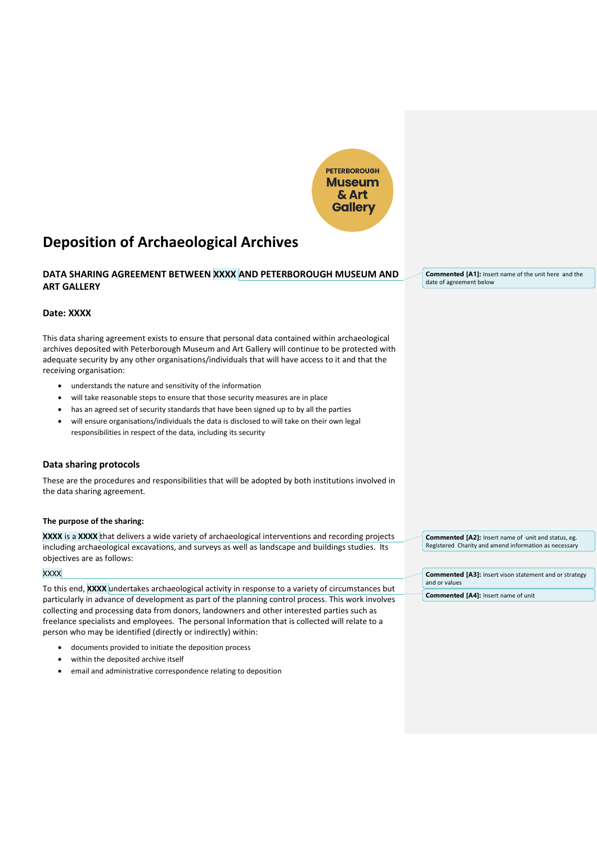

# **Deposition of Archaeological Archives**

# **DATA SHARING AGREEMENT BETWEEN XXXX AND PETERBOROUGH MUSEUM AND ART GALLERY**

# **Date: XXXX**

This data sharing agreement exists to ensure that personal data contained within archaeological archives deposited with Peterborough Museum and Art Gallery will continue to be protected with adequate security by any other organisations/individuals that will have access to it and that the receiving organisation:

- understands the nature and sensitivity of the information
- will take reasonable steps to ensure that those security measures are in place
- has an agreed set of security standards that have been signed up to by all the parties
- will ensure organisations/individuals the data is disclosed to will take on their own legal responsibilities in respect of the data, including its security

# **Data sharing protocols**

These are the procedures and responsibilities that will be adopted by both institutions involved in the data sharing agreement.

# **The purpose of the sharing:**

**XXXX** is a **XXXX** that delivers a wide variety of archaeological interventions and recording projects including archaeological excavations, and surveys as well as landscape and buildings studies. Its objectives are as follows:

# **XXXX**

To this end, **XXXX** undertakes archaeological activity in response to a variety of circumstances but particularly in advance of development as part of the planning control process. This work involves collecting and processing data from donors, landowners and other interested parties such as freelance specialists and employees. The personal Information that is collected will relate to a person who may be identified (directly or indirectly) within:

- documents provided to initiate the deposition process
- within the deposited archive itself
- email and administrative correspondence relating to deposition

**Commented [A1]:** Insert name of the unit here and the date of agreement below

**Commented [A2]:** Insert name of unit and status, eg. Registered Charity and amend information as necessary

**Commented [A3]:** Insert vison statement and or strategy and or values

**Commented [A4]:** Insert name of unit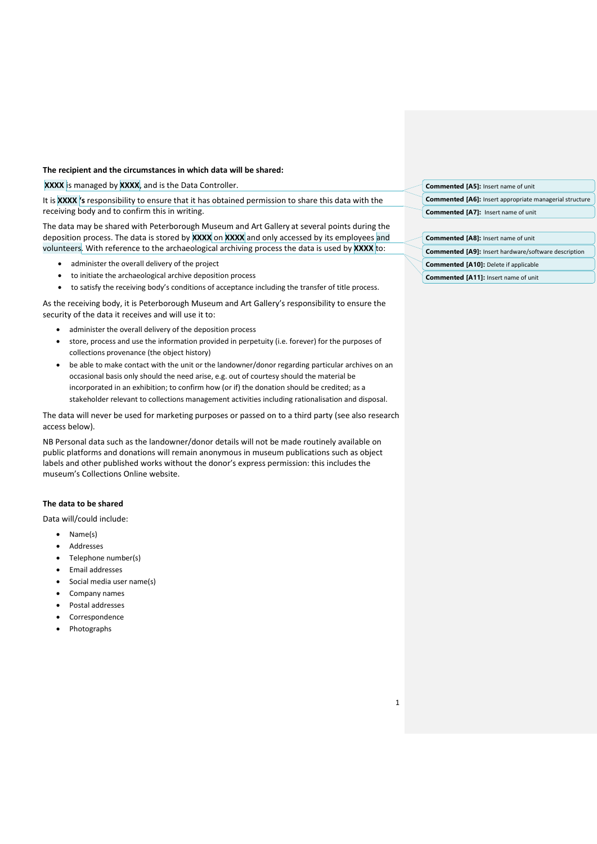# **The recipient and the circumstances in which data will be shared:**

**XXXX** is managed by **XXXX**, and is the Data Controller.

It is **XXXX 's** responsibility to ensure that it has obtained permission to share this data with the receiving body and to confirm this in writing.

The data may be shared with Peterborough Museum and Art Gallery at several points during the deposition process. The data is stored by **XXXX** on **XXXX** and only accessed by its employees and volunteers. With reference to the archaeological archiving process the data is used by **XXXX** to:

- administer the overall delivery of the project
- to initiate the archaeological archive deposition process
- to satisfy the receiving body's conditions of acceptance including the transfer of title process.

As the receiving body, it is Peterborough Museum and Art Gallery's responsibility to ensure the security of the data it receives and will use it to:

- administer the overall delivery of the deposition process
- store, process and use the information provided in perpetuity (i.e. forever) for the purposes of collections provenance (the object history)
- be able to make contact with the unit or the landowner/donor regarding particular archives on an occasional basis only should the need arise, e.g. out of courtesy should the material be incorporated in an exhibition; to confirm how (or if) the donation should be credited; as a stakeholder relevant to collections management activities including rationalisation and disposal.

The data will never be used for marketing purposes or passed on to a third party (see also research access below).

NB Personal data such as the landowner/donor details will not be made routinely available on public platforms and donations will remain anonymous in museum publications such as object labels and other published works without the donor's express permission: this includes the museum's Collections Online website.

# **The data to be shared**

Data will/could include:

- Name(s)
- Addresses
- Telephone number(s)
- Email addresses
- Social media user name(s)
- Company names
- Postal addresses
- Correspondence
- Photographs

| <b>Commented [A5]:</b> Insert name of unit                     |  |
|----------------------------------------------------------------|--|
| <b>Commented [A6]:</b> Insert appropriate managerial structure |  |
| <b>Commented [A7]: Insert name of unit</b>                     |  |
|                                                                |  |
| <b>Commented [A8]: Insert name of unit</b>                     |  |

| <b>Commented [A9]:</b> Insert hardware/software description |  |
|-------------------------------------------------------------|--|
|                                                             |  |

- **Commented [A10]:** Delete if applicable
- **Commented [A11]:** Insert name of unit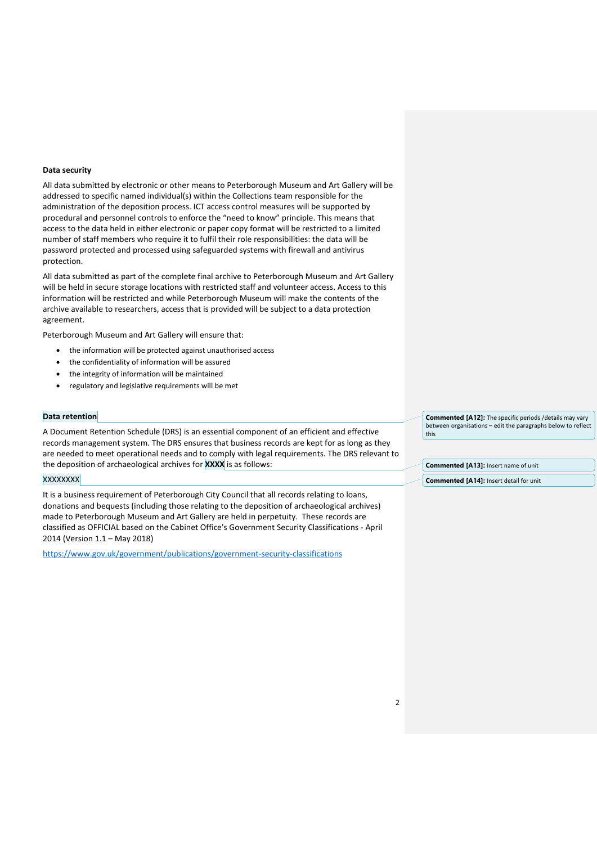#### **Data security**

All data submitted by electronic or other means to Peterborough Museum and Art Gallery will be addressed to specific named individual(s) within the Collections team responsible for the administration of the deposition process. ICT access control measures will be supported by procedural and personnel controls to enforce the "need to know" principle. This means that access to the data held in either electronic or paper copy format will be restricted to a limited number of staff members who require it to fulfil their role responsibilities: the data will be password protected and processed using safeguarded systems with firewall and antivirus protection.

All data submitted as part of the complete final archive to Peterborough Museum and Art Gallery will be held in secure storage locations with restricted staff and volunteer access. Access to this information will be restricted and while Peterborough Museum will make the contents of the archive available to researchers, access that is provided will be subject to a data protection agreement.

Peterborough Museum and Art Gallery will ensure that:

- the information will be protected against unauthorised access
- the confidentiality of information will be assured
- the integrity of information will be maintained
- regulatory and legislative requirements will be met

#### **Data retention**

A Document Retention Schedule (DRS) is an essential component of an efficient and effective records management system. The DRS ensures that business records are kept for as long as they are needed to meet operational needs and to comply with legal requirements. The DRS relevant to the deposition of archaeological archives for **XXXX** is as follows:

#### **XXXXXXX**

It is a business requirement of Peterborough City Council that all records relating to loans, donations and bequests (including those relating to the deposition of archaeological archives) made to Peterborough Museum and Art Gallery are held in perpetuity. These records are classified as OFFICIAL based on the Cabinet Office's Government Security Classifications - April 2014 (Version 1.1 – May 2018)

<https://www.gov.uk/government/publications/government-security-classifications>

**Commented [A12]:** The specific periods /details may vary between organisations – edit the paragraphs below to reflect this

**Commented [A13]:** Insert name of unit

**Commented [A14]:** Insert detail for unit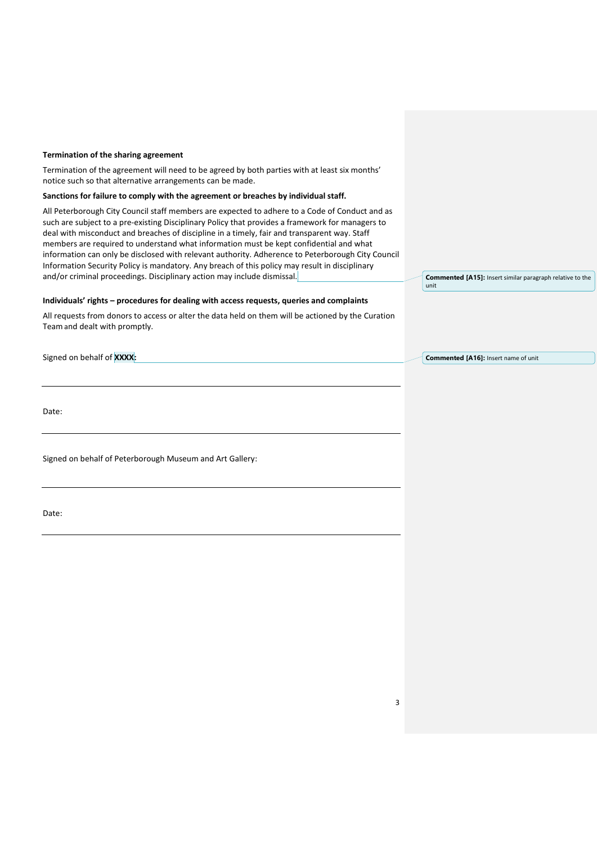#### **Termination of the sharing agreement**

Termination of the agreement will need to be agreed by both parties with at least six months' notice such so that alternative arrangements can be made.

#### **Sanctions for failure to comply with the agreement or breaches by individual staff.**

All Peterborough City Council staff members are expected to adhere to a Code of Conduct and as such are subject to a pre-existing Disciplinary Policy that provides a framework for managers to deal with misconduct and breaches of discipline in a timely, fair and transparent way. Staff members are required to understand what information must be kept confidential and what information can only be disclosed with relevant authority. Adherence to Peterborough City Council Information Security Policy is mandatory. Any breach of this policy may result in disciplinary and/or criminal proceedings. Disciplinary action may include dismissal.

#### **Individuals' rights – procedures for dealing with access requests, queries and complaints**

All requests from donors to access or alter the data held on them will be actioned by the Curation Teamand dealt with promptly.

Signed on behalf of **XXXX:**

Date:

Signed on behalf of Peterborough Museum and Art Gallery:

Date:

**Commented [A15]:** Insert similar paragraph relative to the unit

**Commented [A16]:** Insert name of unit